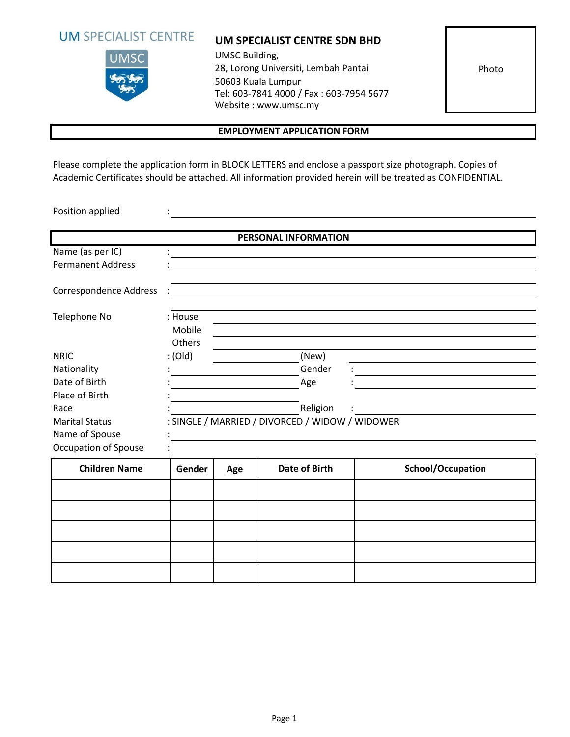



### **UM SPECIALIST CENTRE SDN BHD**

UMSC Building, 28, Lorong Universiti, Lembah Pantai 50603 Kuala Lumpur Tel: 603-7841 4000 / Fax : 603-7954 5677 Website : www.umsc.my

Photo

## **EMPLOYMENT APPLICATION FORM**

Please complete the application form in BLOCK LETTERS and enclose a passport size photograph. Copies of Academic Certificates should be attached. All information provided herein will be treated as CONFIDENTIAL.

Position applied

|                               |                             |     | PERSONAL INFORMATION                            |          |                   |  |
|-------------------------------|-----------------------------|-----|-------------------------------------------------|----------|-------------------|--|
| Name (as per IC)              |                             |     |                                                 |          |                   |  |
| <b>Permanent Address</b>      |                             |     |                                                 |          |                   |  |
| <b>Correspondence Address</b> |                             |     |                                                 |          |                   |  |
| Telephone No                  | : House<br>Mobile<br>Others |     |                                                 |          |                   |  |
| <b>NRIC</b>                   | : (Old)                     |     | (New)                                           |          |                   |  |
| Nationality                   |                             |     |                                                 | Gender   |                   |  |
| Date of Birth                 |                             |     | Age                                             |          |                   |  |
| Place of Birth                |                             |     |                                                 |          |                   |  |
| Race                          |                             |     |                                                 | Religion |                   |  |
| <b>Marital Status</b>         |                             |     | : SINGLE / MARRIED / DIVORCED / WIDOW / WIDOWER |          |                   |  |
| Name of Spouse                |                             |     |                                                 |          |                   |  |
| Occupation of Spouse          |                             |     |                                                 |          |                   |  |
| <b>Children Name</b>          | Gender                      | Age | <b>Date of Birth</b>                            |          | School/Occupation |  |
|                               |                             |     |                                                 |          |                   |  |
|                               |                             |     |                                                 |          |                   |  |
|                               |                             |     |                                                 |          |                   |  |
|                               |                             |     |                                                 |          |                   |  |
|                               |                             |     |                                                 |          |                   |  |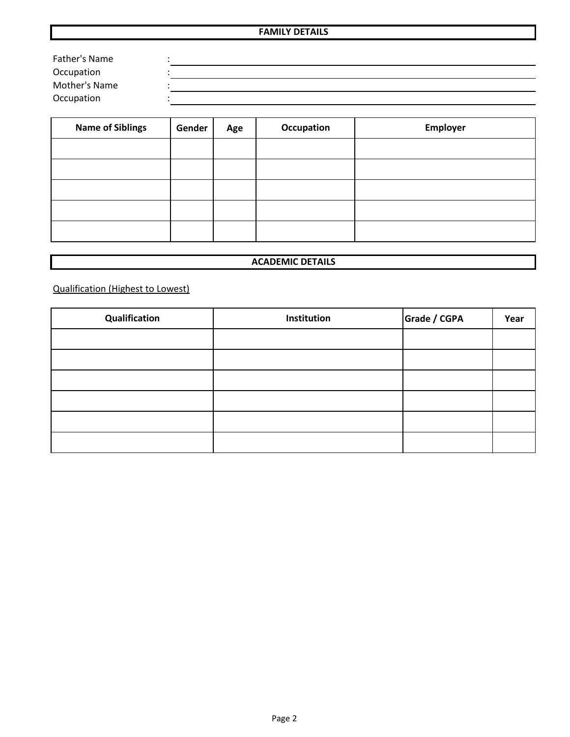#### **FAMILY DETAILS**

| Father's Name |  |
|---------------|--|
| Occupation    |  |
| Mother's Name |  |
| Occupation    |  |

| <b>Name of Siblings</b> | Gender | Age | Occupation | Employer |
|-------------------------|--------|-----|------------|----------|
|                         |        |     |            |          |
|                         |        |     |            |          |
|                         |        |     |            |          |
|                         |        |     |            |          |
|                         |        |     |            |          |

### **ACADEMIC DETAILS**

Qualification (Highest to Lowest)

| Qualification | Institution | Grade / CGPA | Year |
|---------------|-------------|--------------|------|
|               |             |              |      |
|               |             |              |      |
|               |             |              |      |
|               |             |              |      |
|               |             |              |      |
|               |             |              |      |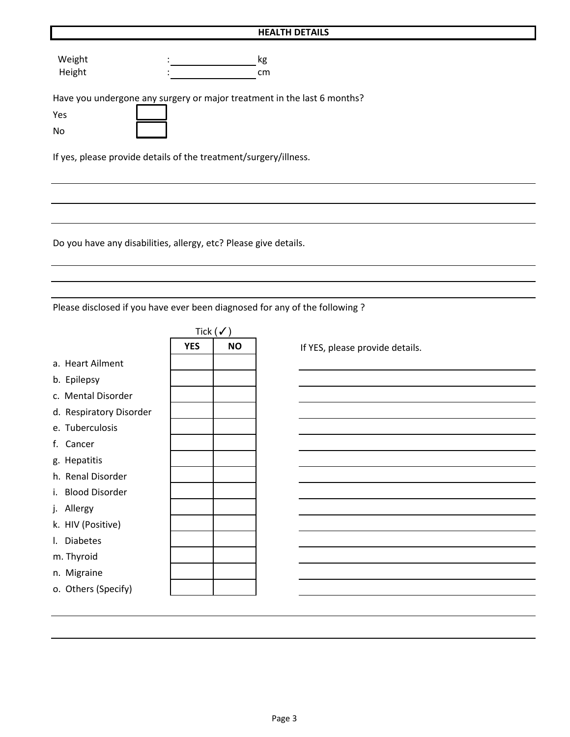#### **HEALTH DETAILS**

Weight : the state of the state of the state of the state of the state of the state of the state of the state o Height : cm

Have you undergone any surgery or major treatment in the last 6 months?

|  | ×<br>$\sim$ | - |  |
|--|-------------|---|--|
|  |             |   |  |

No

If yes, please provide details of the treatment/surgery/illness.

Do you have any disabilities, allergy, etc? Please give details.

Please disclosed if you have ever been diagnosed for any of the following ?

|                         |            | Tick $(\checkmark)$ |
|-------------------------|------------|---------------------|
|                         | <b>YES</b> | <b>NO</b>           |
| a. Heart Ailment        |            |                     |
| b. Epilepsy             |            |                     |
| c. Mental Disorder      |            |                     |
| d. Respiratory Disorder |            |                     |
| e. Tuberculosis         |            |                     |
| f. Cancer               |            |                     |
| g. Hepatitis            |            |                     |
| h. Renal Disorder       |            |                     |
| i. Blood Disorder       |            |                     |
| j. Allergy              |            |                     |
| k. HIV (Positive)       |            |                     |
| I. Diabetes             |            |                     |
| m. Thyroid              |            |                     |
| n. Migraine             |            |                     |
| o. Others (Specify)     |            |                     |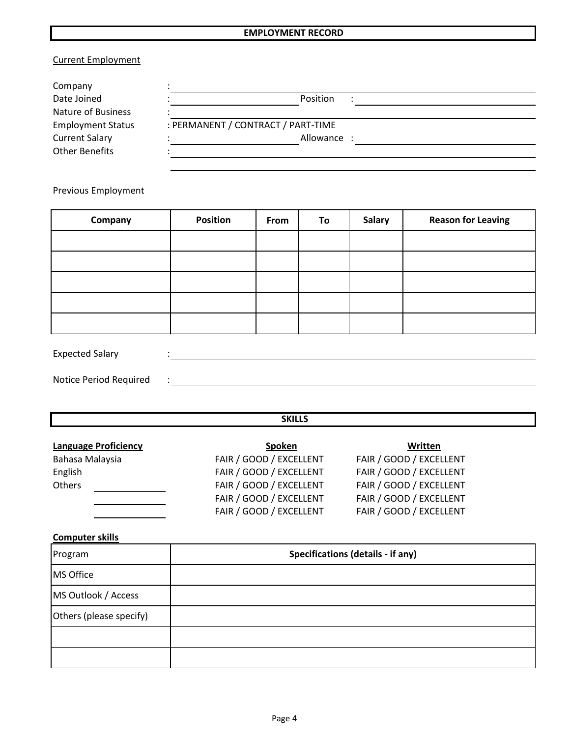## **EMPLOYMENT RECORD**

# Current Employment

| Company                  |                                    |  |
|--------------------------|------------------------------------|--|
| Date Joined              | Position                           |  |
| Nature of Business       |                                    |  |
| <b>Employment Status</b> | : PERMANENT / CONTRACT / PART-TIME |  |
| <b>Current Salary</b>    | Allowance:                         |  |
| Other Benefits           |                                    |  |

Previous Employment

| Company | <b>Position</b> | From | To | <b>Salary</b> | <b>Reason for Leaving</b> |
|---------|-----------------|------|----|---------------|---------------------------|
|         |                 |      |    |               |                           |
|         |                 |      |    |               |                           |
|         |                 |      |    |               |                           |
|         |                 |      |    |               |                           |
|         |                 |      |    |               |                           |

Expected Salary :

Notice Period Required : :

 **SKILLS**

| <b>Language Proficiency</b> | <b>Spoken</b>           | Written                 |
|-----------------------------|-------------------------|-------------------------|
| Bahasa Malaysia             | FAIR / GOOD / EXCELLENT | FAIR / GOOD / EXCELLENT |
| English                     | FAIR / GOOD / EXCELLENT | FAIR / GOOD / EXCELLENT |
| Others                      | FAIR / GOOD / EXCELLENT | FAIR / GOOD / EXCELLENT |
|                             | FAIR / GOOD / EXCELLENT | FAIR / GOOD / EXCELLENT |
|                             | FAIR / GOOD / EXCELLENT | FAIR / GOOD / EXCELLENT |

**Computer skills**

| Program                 | <b>Specifications (details - if any)</b> |  |  |  |
|-------------------------|------------------------------------------|--|--|--|
| <b>MS Office</b>        |                                          |  |  |  |
| MS Outlook / Access     |                                          |  |  |  |
| Others (please specify) |                                          |  |  |  |
|                         |                                          |  |  |  |
|                         |                                          |  |  |  |